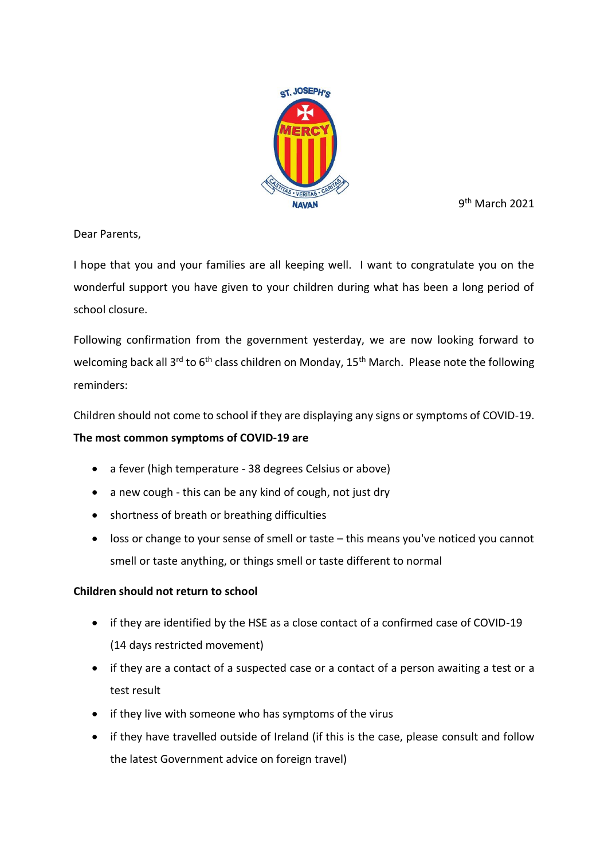

9<sup>th</sup> March 2021

Dear Parents,

I hope that you and your families are all keeping well. I want to congratulate you on the wonderful support you have given to your children during what has been a long period of school closure.

Following confirmation from the government yesterday, we are now looking forward to welcoming back all 3<sup>rd</sup> to 6<sup>th</sup> class children on Monday, 15<sup>th</sup> March. Please note the following reminders:

Children should not come to school if they are displaying any signs or symptoms of COVID-19.

## **The most common symptoms of COVID-19 are**

- a fever (high temperature [38 degrees Celsius or above\)](https://www2.hse.ie/conditions/fever-in-adults.html)
- [a new cough](https://www2.hse.ie/conditions/cough.html) this can be any kind of cough, not just dry
- [shortness of breath](https://www2.hse.ie/conditions/shortness-of-breath.html) or breathing difficulties
- [loss or change to your sense of smell or taste](https://www2.hse.ie/conditions/lost-or-changed-sense-of-smell.html) this means you've noticed you cannot smell or taste anything, or things smell or taste different to normal

## **Children should not return to school**

- if they are identified by the HSE as a close contact of a confirmed case of COVID-19 (14 days restricted movement)
- if they are a contact of a suspected case or a contact of a person awaiting a test or a test result
- if they live with someone who has symptoms of the virus
- if they have travelled outside of Ireland (if this is the case, please consult and follow the latest Government advice on foreign travel)